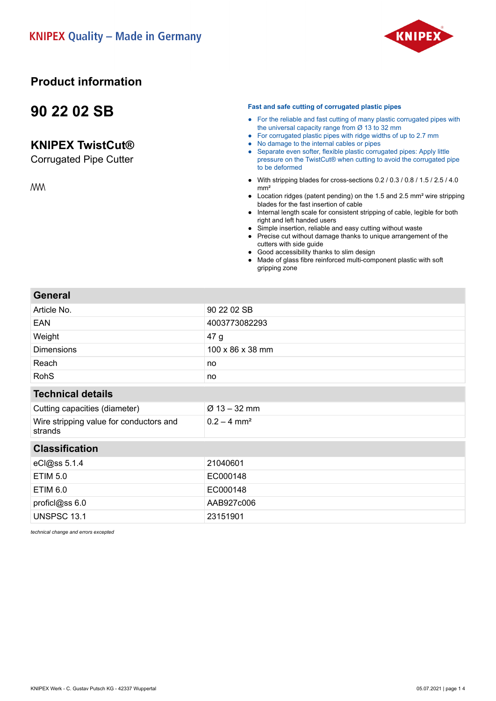

### **Product information**

### **90 22 02 SB**

### **KNIPEX TwistCut®**

Corrugated Pipe Cutter

**MM** 

#### **Fast and safe cutting of corrugated plastic pipes**

- For the reliable and fast cutting of many plastic corrugated pipes with the universal capacity range from Ø 13 to 32 mm
- For corrugated plastic pipes with ridge widths of up to 2.7 mm
- No damage to the internal cables or pipes
- Separate even softer, flexible plastic corrugated pipes: Apply little pressure on the TwistCut® when cutting to avoid the corrugated pipe to be deformed
- With stripping blades for cross-sections 0.2 / 0.3 / 0.8 / 1.5 / 2.5 / 4.0 mm²
- Location ridges (patent pending) on the 1.5 and 2.5 mm² wire stripping blades for the fast insertion of cable
- Internal length scale for consistent stripping of cable, legible for both right and left handed users
- Simple insertion, reliable and easy cutting without waste
- Precise cut without damage thanks to unique arrangement of the cutters with side guide
- Good accessibility thanks to slim design
- Made of glass fibre reinforced multi-component plastic with soft gripping zone

#### **General**

| Article No.                                        | 90 22 02 SB               |
|----------------------------------------------------|---------------------------|
| EAN                                                | 4003773082293             |
| Weight                                             | 47 g                      |
| <b>Dimensions</b>                                  | 100 x 86 x 38 mm          |
| Reach                                              | no                        |
| <b>RohS</b>                                        | no                        |
| <b>Technical details</b>                           |                           |
| Cutting capacities (diameter)                      | $Ø$ 13 – 32 mm            |
| Wire stripping value for conductors and<br>strands | $0.2 - 4$ mm <sup>2</sup> |
|                                                    |                           |

#### **Classification**

| eCl@ss5.1.4    | 21040601   |
|----------------|------------|
| ETIM 5.0       | EC000148   |
| ETIM 6.0       | EC000148   |
| proficl@ss 6.0 | AAB927c006 |
| UNSPSC 13.1    | 23151901   |

*technical change and errors excepted*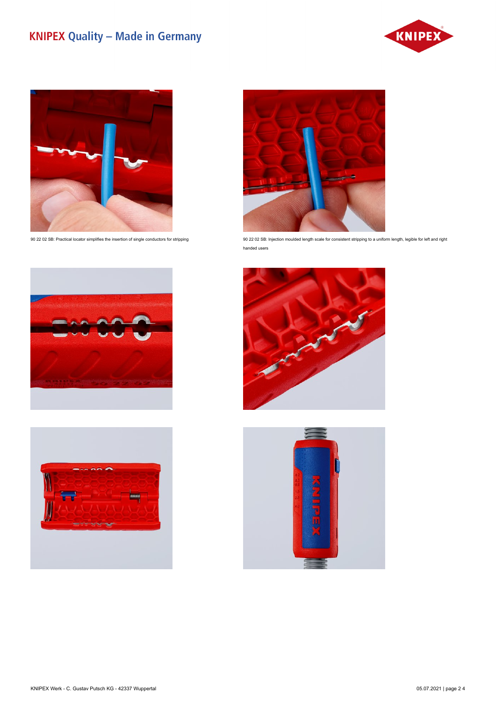## **KNIPEX Quality - Made in Germany**







90 22 02 SB: Injection moulded length scale for consistent stripping to a uniform length, legible for left and right scale for consistent stripping to a uniform length, legible for left and right handed users







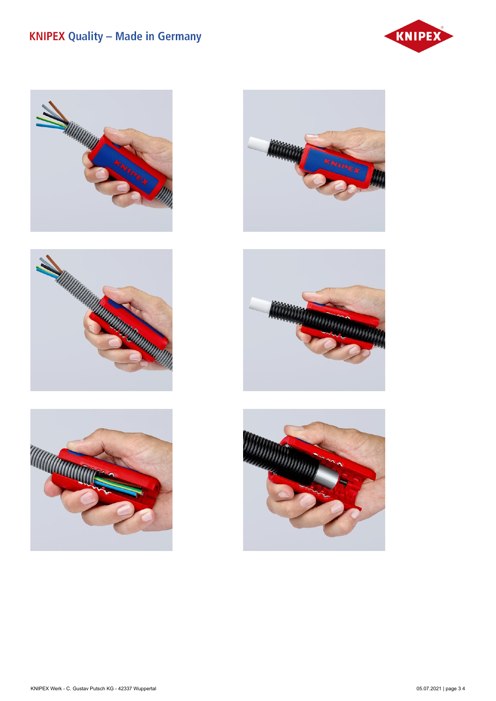### **KNIPEX Quality - Made in Germany**